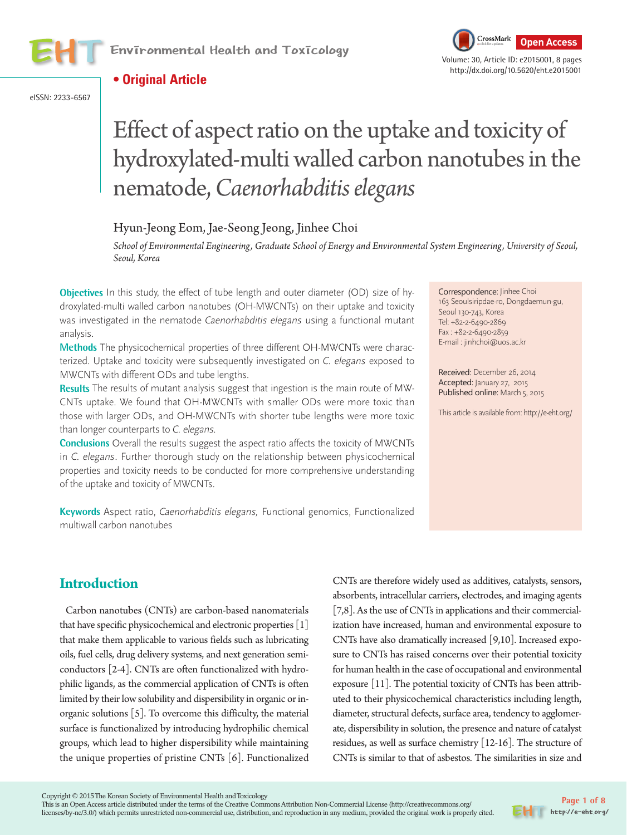



http://dx.doi.org/10.5620/eht.e2015001

## **• Original Article**

eISSN: 2233-6567

# Effect of aspect ratio on the uptake and toxicity of hydroxylated-multi walled carbon nanotubes in the nematode, *Caenorhabditis elegans*

## Hyun-Jeong Eom, Jae-Seong Jeong, Jinhee Choi

*School of Environmental Engineering, Graduate School of Energy and Environmental System Engineering, University of Seoul, Seoul, Korea*

**Objectives** In this study, the effect of tube length and outer diameter (OD) size of hydroxylated-multi walled carbon nanotubes (OH-MWCNTs) on their uptake and toxicity was investigated in the nematode Caenorhabditis elegans using a functional mutant analysis.

**Methods** The physicochemical properties of three different OH-MWCNTs were characterized. Uptake and toxicity were subsequently investigated on C. elegans exposed to MWCNTs with different ODs and tube lengths.

**Results** The results of mutant analysis suggest that ingestion is the main route of MW-CNTs uptake. We found that OH-MWCNTs with smaller ODs were more toxic than those with larger ODs, and OH-MWCNTs with shorter tube lengths were more toxic than longer counterparts to C. elegans.

**Conclusions** Overall the results suggest the aspect ratio affects the toxicity of MWCNTs in C. elegans. Further thorough study on the relationship between physicochemical properties and toxicity needs to be conducted for more comprehensive understanding of the uptake and toxicity of MWCNTs.

**Keywords** Aspect ratio, Caenorhabditis elegans, Functional genomics, Functionalized multiwall carbon nanotubes

Correspondence: Jinhee Choi 163 Seoulsiripdae-ro, Dongdaemun-gu, Seoul 130-743, Korea Tel: +82-2-6490-2869 Fax : +82-2-6490-2859 E-mail : jinhchoi@uos.ac.kr

Received: December 26, 2014 Accepted: January 27, 2015 Published online: March 5, 2015

This article is available from: http://e-eht.org/

## **Introduction**

Carbon nanotubes (CNTs) are carbon-based nanomaterials that have specific physicochemical and electronic properties [1] that make them applicable to various fields such as lubricating oils, fuel cells, drug delivery systems, and next generation semiconductors [2-4]. CNTs are often functionalized with hydrophilic ligands, as the commercial application of CNTs is often limited by their low solubility and dispersibility in organic or inorganic solutions [5]. To overcome this difficulty, the material surface is functionalized by introducing hydrophilic chemical groups, which lead to higher dispersibility while maintaining the unique properties of pristine CNTs [6]. Functionalized CNTs are therefore widely used as additives, catalysts, sensors, absorbents, intracellular carriers, electrodes, and imaging agents [7,8]. As the use of CNTs in applications and their commercialization have increased, human and environmental exposure to CNTs have also dramatically increased [9,10]. Increased exposure to CNTs has raised concerns over their potential toxicity for human health in the case of occupational and environmental exposure [11]. The potential toxicity of CNTs has been attributed to their physicochemical characteristics including length, diameter, structural defects, surface area, tendency to agglomerate, dispersibility in solution, the presence and nature of catalyst residues, as well as surface chemistry [12-16]. The structure of CNTs is similar to that of asbestos. The similarities in size and

This is an Open Access article distributed under the terms of the Creative Commons Attribution Non-Commercial License (http://creativecommons.org/ licenses/by-nc/3.0/) which permits unrestricted non-commercial use, distribution, and reproduction in any medium, provided the original work is properly cited.

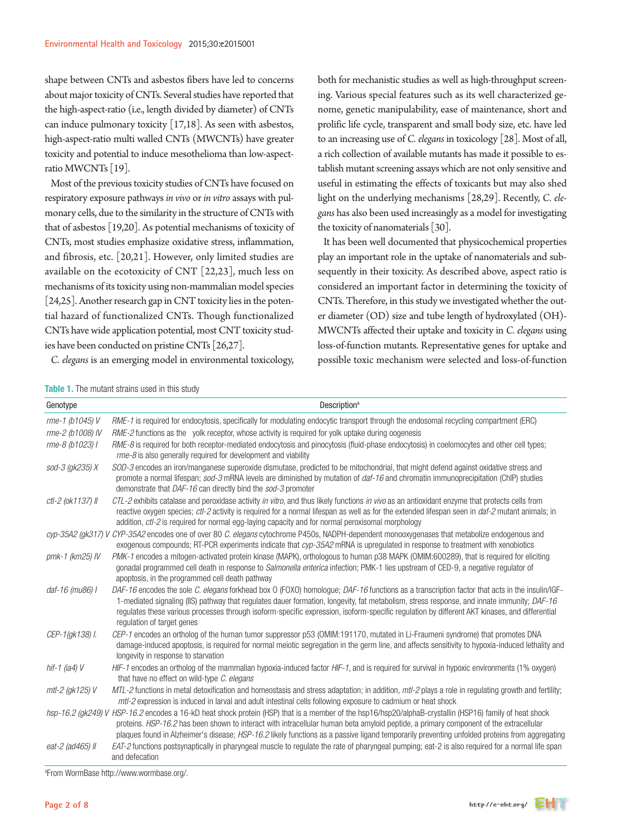shape between CNTs and asbestos fibers have led to concerns about major toxicity of CNTs. Several studies have reported that the high-aspect-ratio (i.e., length divided by diameter) of CNTs can induce pulmonary toxicity [17,18]. As seen with asbestos, high-aspect-ratio multi walled CNTs (MWCNTs) have greater toxicity and potential to induce mesothelioma than low-aspectratio MWCNTs [19].

Most of the previous toxicity studies of CNTs have focused on respiratory exposure pathways *in vivo* or *in vitro* assays with pulmonary cells, due to the similarity in the structure of CNTs with that of asbestos [19,20]. As potential mechanisms of toxicity of CNTs, most studies emphasize oxidative stress, inflammation, and fibrosis, etc. [20,21]. However, only limited studies are available on the ecotoxicity of CNT [22,23], much less on mechanisms of its toxicity using non-mammalian model species [24,25]. Another research gap in CNT toxicity lies in the potential hazard of functionalized CNTs. Though functionalized CNTs have wide application potential, most CNT toxicity studies have been conducted on pristine CNTs [26,27].

*C. elegans* is an emerging model in environmental toxicology,

both for mechanistic studies as well as high-throughput screening. Various special features such as its well characterized genome, genetic manipulability, ease of maintenance, short and prolific life cycle, transparent and small body size, etc. have led to an increasing use of *C. elegans* in toxicology [28]. Most of all, a rich collection of available mutants has made it possible to establish mutant screening assays which are not only sensitive and useful in estimating the effects of toxicants but may also shed light on the underlying mechanisms [28,29]. Recently, *C. elegans* has also been used increasingly as a model for investigating the toxicity of nanomaterials [30].

It has been well documented that physicochemical properties play an important role in the uptake of nanomaterials and subsequently in their toxicity. As described above, aspect ratio is considered an important factor in determining the toxicity of CNTs. Therefore, in this study we investigated whether the outer diameter (OD) size and tube length of hydroxylated (OH)- MWCNTs affected their uptake and toxicity in *C. elegans* using loss-of-function mutants. Representative genes for uptake and possible toxic mechanism were selected and loss-of-function

| <b>Table 1.</b> The mutant strains used in this study |  |
|-------------------------------------------------------|--|
|-------------------------------------------------------|--|

| Genotype              | Description <sup>a</sup>                                                                                                                                                                                                                                                                                                                                                                                                                                                  |
|-----------------------|---------------------------------------------------------------------------------------------------------------------------------------------------------------------------------------------------------------------------------------------------------------------------------------------------------------------------------------------------------------------------------------------------------------------------------------------------------------------------|
| rme-1 (b1045) V       | RME-1 is required for endocytosis, specifically for modulating endocytic transport through the endosomal recycling compartment (ERC)                                                                                                                                                                                                                                                                                                                                      |
| rme-2 (b1008) IV      | RME-2 functions as the yolk receptor, whose activity is required for yolk uptake during oogenesis                                                                                                                                                                                                                                                                                                                                                                         |
| rme-8 (b1023) I       | RME-8 is required for both receptor-mediated endocytosis and pinocytosis (fluid-phase endocytosis) in coelomocytes and other cell types;<br>rme-8 is also generally required for development and viability                                                                                                                                                                                                                                                                |
| sod-3 (gk235) X       | SOD-3 encodes an iron/manganese superoxide dismutase, predicted to be mitochondrial, that might defend against oxidative stress and<br>promote a normal lifespan; sod-3 mRNA levels are diminished by mutation of daf-16 and chromatin immunoprecipitation (ChIP) studies<br>demonstrate that DAF-16 can directly bind the sod-3 promoter                                                                                                                                 |
| ctl-2 (ok1137) II     | CTL-2 exhibits catalase and peroxidase activity in vitro, and thus likely functions in vivo as an antioxidant enzyme that protects cells from<br>reactive oxygen species; ctl-2 activity is required for a normal lifespan as well as for the extended lifespan seen in daf-2 mutant animals; in<br>addition, ctl-2 is required for normal egg-laying capacity and for normal peroxisomal morphology                                                                      |
|                       | cyp-35A2 (gk317) V CYP-35A2 encodes one of over 80 C. elegans cytochrome P450s, NADPH-dependent monooxygenases that metabolize endogenous and<br>exogenous compounds; RT-PCR experiments indicate that cyp-35A2 mRNA is upregulated in response to treatment with xenobiotics                                                                                                                                                                                             |
| $pmk-1$ ( $km25$ ) IV | PMK-1 encodes a mitogen-activated protein kinase (MAPK), orthologous to human p38 MAPK (OMIM:600289), that is required for eliciting<br>gonadal programmed cell death in response to Salmonella enterica infection; PMK-1 lies upstream of CED-9, a negative regulator of<br>apoptosis, in the programmed cell death pathway                                                                                                                                              |
| daf-16 (mu86) I       | DAF-16 encodes the sole C. elegans forkhead box O (FOXO) homologue; DAF-16 functions as a transcription factor that acts in the insulin/IGF-<br>1-mediated signaling (IIS) pathway that regulates dauer formation, longevity, fat metabolism, stress response, and innate immunity; DAF-16<br>regulates these various processes through isoform-specific expression, isoform-specific regulation by different AKT kinases, and differential<br>regulation of target genes |
| CEP-1(gk138) l.       | CEP-1 encodes an ortholog of the human tumor suppressor p53 (OMIM:191170, mutated in Li-Fraumeni syndrome) that promotes DNA<br>damage-induced apoptosis, is required for normal meiotic segregation in the germ line, and affects sensitivity to hypoxia-induced lethality and<br>longevity in response to starvation                                                                                                                                                    |
| hif-1 (ia4) $V$       | HIF-1 encodes an ortholog of the mammalian hypoxia-induced factor HIF-1, and is required for survival in hypoxic environments (1% oxygen)<br>that have no effect on wild-type C. elegans                                                                                                                                                                                                                                                                                  |
| mtl-2 (gk125) V       | MTL-2 functions in metal detoxification and homeostasis and stress adaptation; in addition, mtl-2 plays a role in regulating growth and fertility;<br>mtl-2 expression is induced in larval and adult intestinal cells following exposure to cadmium or heat shock                                                                                                                                                                                                        |
|                       | hsp-16.2 (gk249) V HSP-16.2 encodes a 16-kD heat shock protein (HSP) that is a member of the hsp16/hsp20/alphaB-crystallin (HSP16) family of heat shock<br>proteins. HSP-16.2 has been shown to interact with intracellular human beta amyloid peptide, a primary component of the extracellular<br>plaques found in Alzheimer's disease; HSP-16.2 likely functions as a passive ligand temporarily preventing unfolded proteins from aggregating                         |
| eat-2 (ad465) Il      | EAT-2 functions postsynaptically in pharyngeal muscle to regulate the rate of pharyngeal pumping; eat-2 is also required for a normal life span<br>and defecation                                                                                                                                                                                                                                                                                                         |

a From WormBase http://www.wormbase.org/.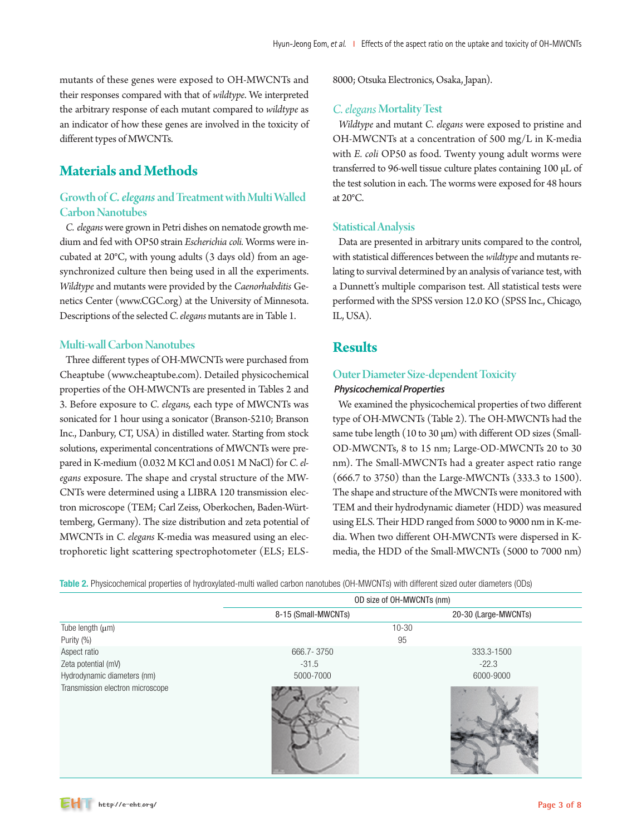mutants of these genes were exposed to OH-MWCNTs and their responses compared with that of *wildtype*. We interpreted the arbitrary response of each mutant compared to *wildtype* as an indicator of how these genes are involved in the toxicity of different types of MWCNTs.

# **Materials and Methods**

#### Growth of*C. elegans*and Treatment with Multi Walled Carbon Nanotubes

*C. elegans* were grown in Petri dishes on nematode growth medium and fed with OP50 strain *Escherichia coli.* Worms were incubated at 20°C, with young adults (3 days old) from an agesynchronized culture then being used in all the experiments. *Wildtype* and mutants were provided by the *Caenorhabditis* Genetics Center (www.CGC.org) at the University of Minnesota. Descriptions of the selected *C. elegans* mutants are in Table 1.

#### Multi-wall Carbon Nanotubes

Three different types of OH-MWCNTs were purchased from Cheaptube (www.cheaptube.com). Detailed physicochemical properties of the OH-MWCNTs are presented in Tables 2 and 3. Before exposure to *C. elegans,* each type of MWCNTs was sonicated for 1 hour using a sonicator (Branson-5210; Branson Inc., Danbury, CT, USA) in distilled water. Starting from stock solutions, experimental concentrations of MWCNTs were prepared in K-medium (0.032 M KCl and 0.051 M NaCl) for *C. elegans* exposure. The shape and crystal structure of the MW-CNTs were determined using a LIBRA 120 transmission electron microscope (TEM; Carl Zeiss, Oberkochen, Baden-Württemberg, Germany). The size distribution and zeta potential of MWCNTs in *C. elegans* K-media was measured using an electrophoretic light scattering spectrophotometer (ELS; ELS- 8000; Otsuka Electronics, Osaka, Japan).

#### *C. elegans* Mortality Test

*Wildtype* and mutant *C. elegans* were exposed to pristine and OH-MWCNTs at a concentration of 500 mg/L in K-media with *E. coli* OP50 as food. Twenty young adult worms were transferred to 96-well tissue culture plates containing 100 μL of the test solution in each. The worms were exposed for 48 hours at 20°C.

#### Statistical Analysis

Data are presented in arbitrary units compared to the control, with statistical differences between the *wildtype* and mutants relating to survival determined by an analysis of variance test, with a Dunnett's multiple comparison test. All statistical tests were performed with the SPSS version 12.0 KO (SPSS Inc., Chicago, IL, USA).

## **Results**

#### Outer Diameter Size-dependent Toxicity  *Physicochemical Properties*

We examined the physicochemical properties of two different type of OH-MWCNTs (Table 2). The OH-MWCNTs had the same tube length (10 to 30 μm) with different OD sizes (Small-OD-MWCNTs, 8 to 15 nm; Large-OD-MWCNTs 20 to 30 nm). The Small-MWCNTs had a greater aspect ratio range (666.7 to 3750) than the Large-MWCNTs (333.3 to 1500). The shape and structure of the MWCNTs were monitored with TEM and their hydrodynamic diameter (HDD) was measured using ELS. Their HDD ranged from 5000 to 9000 nm in K-media. When two different OH-MWCNTs were dispersed in Kmedia, the HDD of the Small-MWCNTs (5000 to 7000 nm)

Table 2. Physicochemical properties of hydroxylated-multi walled carbon nanotubes (OH-MWCNTs) with different sized outer diameters (ODs)

|                                  | OD size of OH-MWCNTs (nm) |                      |  |  |
|----------------------------------|---------------------------|----------------------|--|--|
|                                  | 8-15 (Small-MWCNTs)       | 20-30 (Large-MWCNTs) |  |  |
| Tube length $(\mu m)$            | $10 - 30$                 |                      |  |  |
| Purity (%)                       | 95                        |                      |  |  |
| Aspect ratio                     | 666.7 - 3750              | 333.3-1500           |  |  |
| Zeta potential (mV)              | $-31.5$                   | $-22.3$              |  |  |
| Hydrodynamic diameters (nm)      | 5000-7000                 | 6000-9000            |  |  |
| Transmission electron microscope |                           |                      |  |  |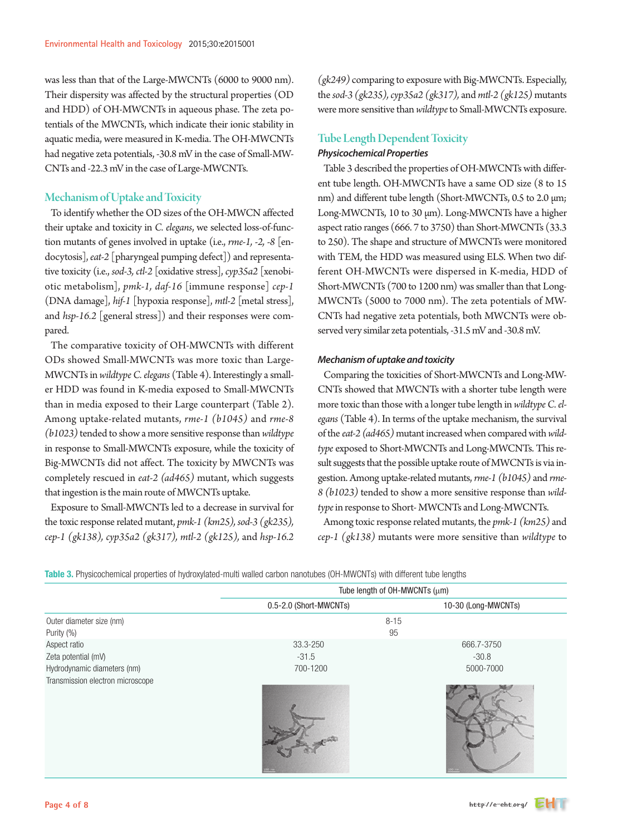was less than that of the Large-MWCNTs (6000 to 9000 nm). Their dispersity was affected by the structural properties (OD and HDD) of OH-MWCNTs in aqueous phase. The zeta potentials of the MWCNTs, which indicate their ionic stability in aquatic media, were measured in K-media. The OH-MWCNTs had negative zeta potentials, -30.8 mV in the case of Small-MW-CNTs and -22.3 mV in the case of Large-MWCNTs.

#### Mechanism of Uptake and Toxicity

To identify whether the OD sizes of the OH-MWCN affected their uptake and toxicity in *C. elegans*, we selected loss-of-function mutants of genes involved in uptake (i.e., *rme-1, -2, -8* [endocytosis], *eat-2* [pharyngeal pumping defect]) and representative toxicity (i.e., *sod-3, ctl-2* [oxidative stress], *cyp35a2* [xenobiotic metabolism], *pmk-1, daf-16* [immune response] *cep-1*  (DNA damage], *hif-1* [hypoxia response], *mtl-2* [metal stress], and *hsp-16.2* [general stress]) and their responses were compared.

The comparative toxicity of OH-MWCNTs with different ODs showed Small-MWCNTs was more toxic than Large-MWCNTs in *wildtype C. elegans* (Table 4). Interestingly a smaller HDD was found in K-media exposed to Small-MWCNTs than in media exposed to their Large counterpart (Table 2). Among uptake-related mutants, *rme-1 (b1045)* and *rme-8 (b1023)* tended to show a more sensitive response than *wildtype* in response to Small-MWCNTs exposure, while the toxicity of Big-MWCNTs did not affect. The toxicity by MWCNTs was completely rescued in *eat-2 (ad465)* mutant, which suggests that ingestion is the main route of MWCNTs uptake.

Exposure to Small-MWCNTs led to a decrease in survival for the toxic response related mutant, *pmk-1 (km25), sod-3 (gk235), cep-1 (gk138), cyp35a2 (gk317), mtl-2 (gk125),* and *hsp-16.2*  *(gk249)* comparing to exposure with Big-MWCNTs. Especially, the *sod-3 (gk235), cyp35a2 (gk317),* and *mtl-2 (gk125)* mutants were more sensitive than *wildtype* to Small-MWCNTs exposure.

## Tube Length Dependent Toxicity

#### *Physicochemical Properties*

Table 3 described the properties of OH-MWCNTs with different tube length. OH-MWCNTs have a same OD size (8 to 15 nm) and different tube length (Short-MWCNTs, 0.5 to 2.0 μm; Long-MWCNTs, 10 to 30 μm). Long-MWCNTs have a higher aspect ratio ranges (666. 7 to 3750) than Short-MWCNTs (33.3 to 250). The shape and structure of MWCNTs were monitored with TEM, the HDD was measured using ELS. When two different OH-MWCNTs were dispersed in K-media, HDD of Short-MWCNTs (700 to 1200 nm) was smaller than that Long-MWCNTs (5000 to 7000 nm). The zeta potentials of MW-CNTs had negative zeta potentials, both MWCNTs were observed very similar zeta potentials, -31.5 mV and -30.8 mV.

#### *Mechanism of uptake and toxicity*

Comparing the toxicities of Short-MWCNTs and Long-MW-CNTs showed that MWCNTs with a shorter tube length were more toxic than those with a longer tube length in *wildtype C. elegans* (Table 4). In terms of the uptake mechanism, the survival of the *eat-2 (ad465)* mutant increased when compared with *wildtype* exposed to Short-MWCNTs and Long-MWCNTs. This result suggests that the possible uptake route of MWCNTs is via ingestion. Among uptake-related mutants, *rme-1 (b1045)* and *rme-8 (b1023)* tended to show a more sensitive response than *wildtype* in response to Short- MWCNTs and Long-MWCNTs.

Among toxic response related mutants, the *pmk-1 (km25)* and *cep-1 (gk138)* mutants were more sensitive than *wildtype* to

Table 3. Physicochemical properties of hydroxylated-multi walled carbon nanotubes (OH-MWCNTs) with different tube lengths

|                                  | Tube length of OH-MWCNTs (µm) |                     |  |  |  |
|----------------------------------|-------------------------------|---------------------|--|--|--|
|                                  | 0.5-2.0 (Short-MWCNTs)        | 10-30 (Long-MWCNTs) |  |  |  |
| Outer diameter size (nm)         | $8 - 15$                      |                     |  |  |  |
| Purity (%)                       | 95                            |                     |  |  |  |
| Aspect ratio                     | 33.3-250                      | 666.7-3750          |  |  |  |
| Zeta potential (mV)              | $-31.5$                       | $-30.8$             |  |  |  |
| Hydrodynamic diameters (nm)      | 700-1200                      | 5000-7000           |  |  |  |
| Transmission electron microscope |                               |                     |  |  |  |

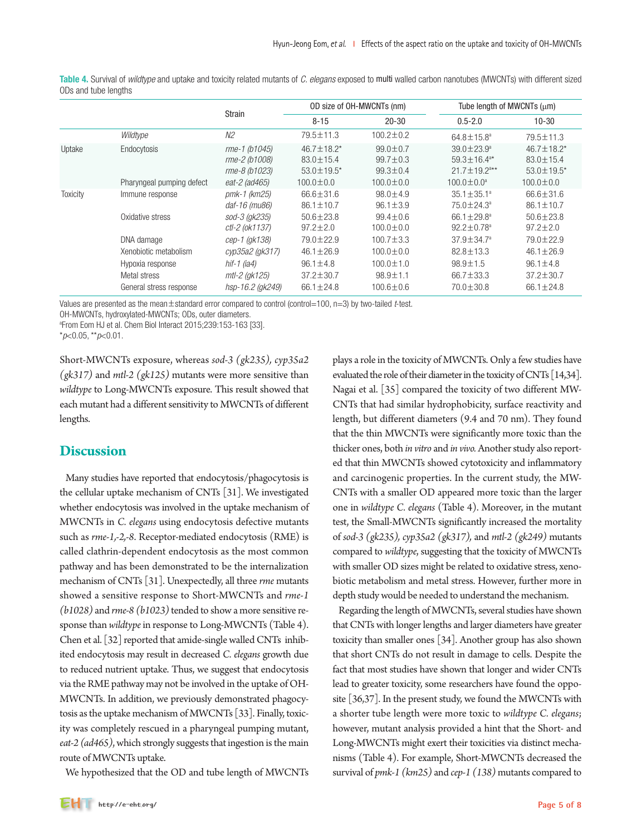|                                                             |                                                      |                                                           |                                                      | Tube length of MWCNTs (um)                                                               |                                                           |  |
|-------------------------------------------------------------|------------------------------------------------------|-----------------------------------------------------------|------------------------------------------------------|------------------------------------------------------------------------------------------|-----------------------------------------------------------|--|
|                                                             |                                                      | $8 - 15$                                                  | $20 - 30$                                            | $0.5 - 2.0$                                                                              | $10 - 30$                                                 |  |
| Wildtype                                                    | N <sub>2</sub>                                       | $79.5 \pm 11.3$                                           | $100.2 \pm 0.2$                                      | $64.8 \pm 15.8^a$                                                                        | 79.5±11.3                                                 |  |
| Endocytosis                                                 | rme-1 (b1045)<br>rme-2 (b1008)<br>rme-8 (b1023)      | $46.7 \pm 18.2$ *<br>$83.0 \pm 15.4$<br>$53.0 \pm 19.5^*$ | $99.0 \pm 0.7$<br>$99.7 \pm 0.3$<br>$99.3 \pm 0.4$   | $39.0 + 23.9^{\circ}$<br>$59.3 \pm 16.4$ <sup>a*</sup><br>$21.7 \pm 19.2$ <sup>a**</sup> | $46.7 \pm 18.2$ *<br>$83.0 \pm 15.4$<br>$53.0 \pm 19.5^*$ |  |
| Pharyngeal pumping defect                                   | eat-2 (ad465)                                        | $100.0 \pm 0.0$                                           | $100.0 \pm 0.0$                                      | $100.0 \pm 0.0^a$                                                                        | $100.0 \pm 0.0$                                           |  |
| Immune response                                             | pmk-1 (km25)<br>daf-16 (mu86)                        | $66.6 \pm 31.6$<br>$86.1 \pm 10.7$                        | $98.0 \pm 4.9$<br>$96.1 \pm 3.9$                     | $35.1 \pm 35.1^a$<br>75.0 ± 24.3 <sup>a</sup>                                            | $66.6 \pm 31.6$<br>$86.1 \pm 10.7$                        |  |
| Oxidative stress                                            | sod-3 (gk235)<br>ctl-2 (ok1137)                      | $50.6 \pm 23.8$<br>$97.2 \pm 2.0$                         | $99.4 \pm 0.6$<br>$100.0 \pm 0.0$                    | 66.1 $\pm$ 29.8 <sup>a</sup><br>$92.2 \pm 0.78^a$                                        | $50.6 \pm 23.8$<br>$97.2 \pm 2.0$                         |  |
| DNA damage                                                  | cep-1 (gk138)                                        | 79.0 ± 22.9                                               | $100.7 \pm 3.3$                                      | $37.9 \pm 34.7^a$                                                                        | 79.0±22.9                                                 |  |
| Xenobiotic metabolism                                       | cyp35a2 (gk317)                                      | $46.1 \pm 26.9$                                           | $100.0 \pm 0.0$                                      | $82.8 \pm 13.3$                                                                          | $46.1 \pm 26.9$                                           |  |
| Hypoxia response<br>Metal stress<br>General stress response | hif-1 ( $ia4$ )<br>mtl-2 (gk125)<br>hsp-16.2 (gk249) | $96.1 \pm 4.8$<br>$37.2 \pm 30.7$<br>$66.1 \pm 24.8$      | $100.0 \pm 1.0$<br>$98.9 \pm 1.1$<br>$100.6 \pm 0.6$ | $98.9 \pm 1.5$<br>$66.7 \pm 33.3$<br>70.0±30.8                                           | $96.1 \pm 4.8$<br>$37.2 \pm 30.7$<br>$66.1 \pm 24.8$      |  |
|                                                             |                                                      | <b>Strain</b>                                             |                                                      | OD size of OH-MWCNTs (nm)                                                                |                                                           |  |

Table 4. Survival of *wildtype* and uptake and toxicity related mutants of *C. elegans* exposed to multi walled carbon nanotubes (MWCNTs) with different sized ODs and tube lengths

Values are presented as the mean±standard error compared to control (control=100, n=3) by two-tailed *t*-test.

OH-MWCNTs, hydroxylated-MWCNTs; ODs, outer diameters.

a From Eom HJ et al. Chem Biol Interact 2015;239:153-163 [33].

\**p*<0.05, \*\**p*<0.01.

Short-MWCNTs exposure, whereas *sod-3 (gk235), cyp35a2 (gk317)* and *mtl-2 (gk125)* mutants were more sensitive than *wildtype* to Long-MWCNTs exposure. This result showed that each mutant had a different sensitivity to MWCNTs of different lengths.

## **Discussion**

Many studies have reported that endocytosis/phagocytosis is the cellular uptake mechanism of CNTs [31]. We investigated whether endocytosis was involved in the uptake mechanism of MWCNTs in *C. elegans* using endocytosis defective mutants such as *rme-1,-2,-8*. Receptor-mediated endocytosis (RME) is called clathrin-dependent endocytosis as the most common pathway and has been demonstrated to be the internalization mechanism of CNTs [31]. Unexpectedly, all three *rme* mutants showed a sensitive response to Short-MWCNTs and *rme-1 (b1028)* and *rme-8 (b1023)* tended to show a more sensitive response than *wildtype* in response to Long-MWCNTs (Table 4). Chen et al. [32] reported that amide-single walled CNTs inhibited endocytosis may result in decreased *C. elegans* growth due to reduced nutrient uptake. Thus, we suggest that endocytosis via the RME pathway may not be involved in the uptake of OH-MWCNTs. In addition, we previously demonstrated phagocytosis as the uptake mechanism of MWCNTs [33]. Finally, toxicity was completely rescued in a pharyngeal pumping mutant, *eat-2 (ad465)*, which strongly suggests that ingestion is the main route of MWCNTs uptake.

We hypothesized that the OD and tube length of MWCNTs

plays a role in the toxicity of MWCNTs. Only a few studies have evaluated the role of their diameter in the toxicity of CNTs [14,34]. Nagai et al. [35] compared the toxicity of two different MW-CNTs that had similar hydrophobicity, surface reactivity and length, but different diameters (9.4 and 70 nm). They found that the thin MWCNTs were significantly more toxic than the thicker ones, both *in vitro* and *in vivo.* Another study also reported that thin MWCNTs showed cytotoxicity and inflammatory and carcinogenic properties. In the current study, the MW-CNTs with a smaller OD appeared more toxic than the larger one in *wildtype C. elegans* (Table 4). Moreover, in the mutant test, the Small-MWCNTs significantly increased the mortality of *sod-3 (gk235), cyp35a2 (gk317),* and *mtl-2 (gk249)* mutants compared to *wildtype*, suggesting that the toxicity of MWCNTs with smaller OD sizes might be related to oxidative stress, xenobiotic metabolism and metal stress. However, further more in depth study would be needed to understand the mechanism.

Regarding the length of MWCNTs, several studies have shown that CNTs with longer lengths and larger diameters have greater toxicity than smaller ones [34]. Another group has also shown that short CNTs do not result in damage to cells. Despite the fact that most studies have shown that longer and wider CNTs lead to greater toxicity, some researchers have found the opposite [36,37]. In the present study, we found the MWCNTs with a shorter tube length were more toxic to *wildtype C. elegans*; however, mutant analysis provided a hint that the Short- and Long-MWCNTs might exert their toxicities via distinct mechanisms (Table 4). For example, Short-MWCNTs decreased the survival of *pmk-1 (km25)* and *cep-1 (138)* mutants compared to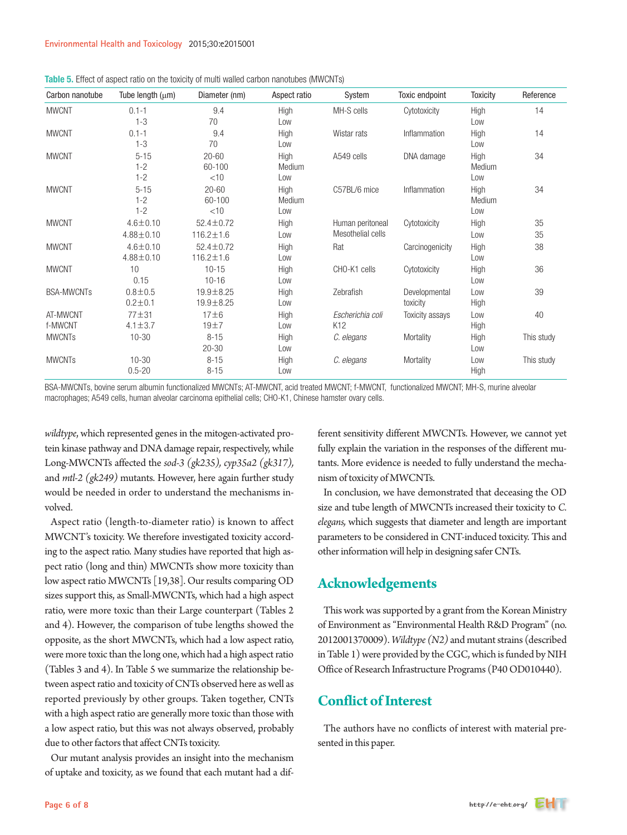| Carbon nanotube     | Tube length $(\mu m)$             | Diameter (nm)                      | Aspect ratio          | System                                | Toxic endpoint            | <b>Toxicity</b>       | Reference  |
|---------------------|-----------------------------------|------------------------------------|-----------------------|---------------------------------------|---------------------------|-----------------------|------------|
| <b>MWCNT</b>        | $0.1 - 1$<br>$1 - 3$              | 9.4<br>70                          | High<br>Low           | MH-S cells                            | Cytotoxicity              | High<br>Low           | 14         |
| <b>MWCNT</b>        | $0.1 - 1$<br>$1 - 3$              | 9.4<br>70                          | High<br>Low           | Wistar rats                           | Inflammation              | High<br>Low           | 14         |
| <b>MWCNT</b>        | $5 - 15$<br>$1 - 2$<br>$1 - 2$    | $20 - 60$<br>60-100<br>$<$ 10      | High<br>Medium<br>Low | A549 cells                            | DNA damage                | High<br>Medium<br>Low | 34         |
| <b>MWCNT</b>        | $5 - 15$<br>$1 - 2$<br>$1 - 2$    | $20 - 60$<br>$60 - 100$<br>$<$ 10  | High<br>Medium<br>Low | C57BL/6 mice                          | Inflammation              | High<br>Medium<br>Low | 34         |
| <b>MWCNT</b>        | $4.6 \pm 0.10$<br>$4.88 \pm 0.10$ | $52.4 \pm 0.72$<br>$116.2 \pm 1.6$ | High<br>Low           | Human peritoneal<br>Mesothelial cells | Cytotoxicity              | High<br>Low           | 35<br>35   |
| <b>MWCNT</b>        | $4.6 \pm 0.10$<br>$4.88 \pm 0.10$ | $52.4 \pm 0.72$<br>$116.2 \pm 1.6$ | High<br>Low           | Rat                                   | Carcinogenicity           | High<br>Low           | 38         |
| <b>MWCNT</b>        | 10<br>0.15                        | $10 - 15$<br>$10 - 16$             | High<br>Low           | CHO-K1 cells                          | Cytotoxicity              | High<br>Low           | 36         |
| <b>BSA-MWCNTs</b>   | $0.8 + 0.5$<br>$0.2 \pm 0.1$      | 19.9±8.25<br>19.9±8.25             | High<br>Low           | Zebrafish                             | Developmental<br>toxicity | Low<br>High           | 39         |
| AT-MWCNT<br>f-MWCNT | $77 + 31$<br>$4.1 \pm 3.7$        | $17\pm 619±7$                      | High<br>Low           | Escherichia coli<br>K12               | Toxicity assays           | Low<br>High           | 40         |
| <b>MWCNTs</b>       | $10 - 30$                         | $8 - 15$<br>$20 - 30$              | High<br>Low           | C. elegans                            | Mortality                 | High<br>Low           | This study |
| <b>MWCNTs</b>       | $10 - 30$<br>$0.5 - 20$           | $8 - 15$<br>$8 - 15$               | High<br>Low           | C. elegans                            | Mortality                 | Low<br>High           | This study |

|  |  | Table 5. Effect of aspect ratio on the toxicity of multi walled carbon nanotubes (MWCNTs) |  |  |  |  |  |  |  |
|--|--|-------------------------------------------------------------------------------------------|--|--|--|--|--|--|--|
|--|--|-------------------------------------------------------------------------------------------|--|--|--|--|--|--|--|

BSA-MWCNTs, bovine serum albumin functionalized MWCNTs; AT-MWCNT, acid treated MWCNT; f-MWCNT, functionalized MWCNT; MH-S, murine alveolar macrophages; A549 cells, human alveolar carcinoma epithelial cells; CHO-K1, Chinese hamster ovary cells.

*wildtype*, which represented genes in the mitogen-activated protein kinase pathway and DNA damage repair, respectively, while Long-MWCNTs affected the *sod-3 (gk235), cyp35a2 (gk317),*  and *mtl-2 (gk249)* mutants. However, here again further study would be needed in order to understand the mechanisms involved.

Aspect ratio (length-to-diameter ratio) is known to affect MWCNT's toxicity. We therefore investigated toxicity according to the aspect ratio. Many studies have reported that high aspect ratio (long and thin) MWCNTs show more toxicity than low aspect ratio MWCNTs [19,38]. Our results comparing OD sizes support this, as Small-MWCNTs, which had a high aspect ratio, were more toxic than their Large counterpart (Tables 2 and 4). However, the comparison of tube lengths showed the opposite, as the short MWCNTs, which had a low aspect ratio, were more toxic than the long one, which had a high aspect ratio (Tables 3 and 4). In Table 5 we summarize the relationship between aspect ratio and toxicity of CNTs observed here as well as reported previously by other groups. Taken together, CNTs with a high aspect ratio are generally more toxic than those with a low aspect ratio, but this was not always observed, probably due to other factors that affect CNTs toxicity.

Our mutant analysis provides an insight into the mechanism of uptake and toxicity, as we found that each mutant had a different sensitivity different MWCNTs. However, we cannot yet fully explain the variation in the responses of the different mutants. More evidence is needed to fully understand the mechanism of toxicity of MWCNTs.

In conclusion, we have demonstrated that deceasing the OD size and tube length of MWCNTs increased their toxicity to *C. elegans,* which suggests that diameter and length are important parameters to be considered in CNT-induced toxicity. This and other information will help in designing safer CNTs.

# **Acknowledgements**

This work was supported by a grant from the Korean Ministry of Environment as "Environmental Health R&D Program" (no. 2012001370009). *Wildtype (N2)* and mutant strains (described in Table 1) were provided by the CGC, which is funded by NIH Office of Research Infrastructure Programs (P40 OD010440).

# **Conflict of Interest**

The authors have no conflicts of interest with material presented in this paper.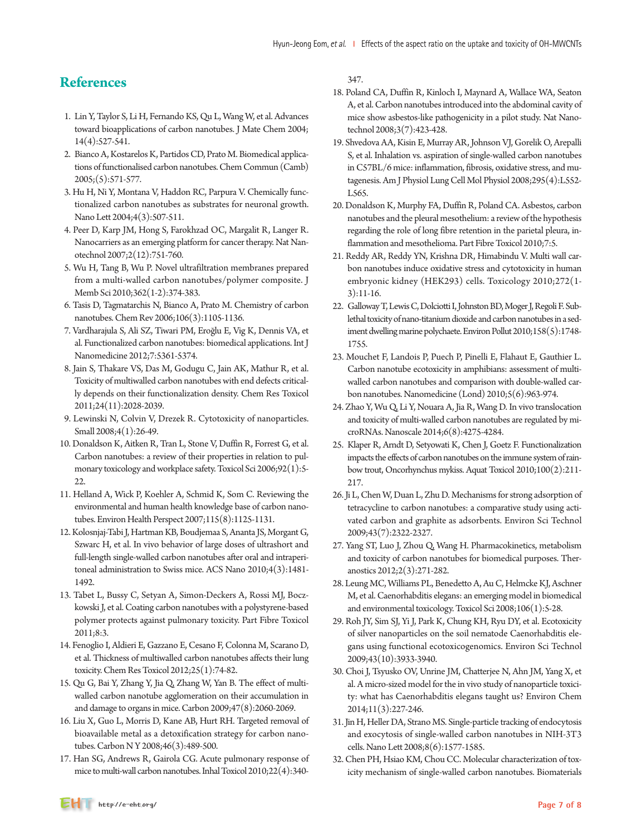# **References**

- 1. Lin Y, Taylor S, Li H, Fernando KS, Qu L, Wang W, et al. Advances toward bioapplications of carbon nanotubes. J Mate Chem 2004; 14(4):527-541.
- 2. Bianco A, Kostarelos K, Partidos CD, Prato M. Biomedical applications of functionalised carbon nanotubes. Chem Commun (Camb) 2005;(5):571-577.
- 3. Hu H, Ni Y, Montana V, Haddon RC, Parpura V. Chemically functionalized carbon nanotubes as substrates for neuronal growth. Nano Lett 2004;4(3):507-511.
- 4. Peer D, Karp JM, Hong S, Farokhzad OC, Margalit R, Langer R. Nanocarriers as an emerging platform for cancer therapy. Nat Nanotechnol 2007;2(12):751-760.
- 5. Wu H, Tang B, Wu P. Novel ultrafiltration membranes prepared from a multi-walled carbon nanotubes/polymer composite. J Memb Sci 2010;362(1-2):374-383.
- 6. Tasis D, Tagmatarchis N, Bianco A, Prato M. Chemistry of carbon nanotubes. Chem Rev 2006;106(3):1105-1136.
- 7. Vardharajula S, Ali SZ, Tiwari PM, Eroğlu E, Vig K, Dennis VA, et al. Functionalized carbon nanotubes: biomedical applications. Int J Nanomedicine 2012;7:5361-5374.
- 8. Jain S, Thakare VS, Das M, Godugu C, Jain AK, Mathur R, et al. Toxicity of multiwalled carbon nanotubes with end defects critically depends on their functionalization density. Chem Res Toxicol 2011;24(11):2028-2039.
- 9. Lewinski N, Colvin V, Drezek R. Cytotoxicity of nanoparticles. Small 2008;4(1):26-49.
- 10. Donaldson K, Aitken R, Tran L, Stone V, Duffin R, Forrest G, et al. Carbon nanotubes: a review of their properties in relation to pulmonary toxicology and workplace safety. Toxicol Sci 2006;92(1):5-  $22.$
- 11. Helland A, Wick P, Koehler A, Schmid K, Som C. Reviewing the environmental and human health knowledge base of carbon nanotubes. Environ Health Perspect 2007;115(8):1125-1131.
- 12. Kolosnjaj-Tabi J, Hartman KB, Boudjemaa S, Ananta JS, Morgant G, Szwarc H, et al. In vivo behavior of large doses of ultrashort and full-length single-walled carbon nanotubes after oral and intraperitoneal administration to Swiss mice. ACS Nano 2010;4(3):1481- 1492.
- 13. Tabet L, Bussy C, Setyan A, Simon-Deckers A, Rossi MJ, Boczkowski J, et al. Coating carbon nanotubes with a polystyrene-based polymer protects against pulmonary toxicity. Part Fibre Toxicol 2011;8:3.
- 14. Fenoglio I, Aldieri E, Gazzano E, Cesano F, Colonna M, Scarano D, et al. Thickness of multiwalled carbon nanotubes affects their lung toxicity. Chem Res Toxicol 2012;25(1):74-82.
- 15. Qu G, Bai Y, Zhang Y, Jia Q, Zhang W, Yan B. The effect of multiwalled carbon nanotube agglomeration on their accumulation in and damage to organs in mice. Carbon 2009;47(8):2060-2069.
- 16. Liu X, Guo L, Morris D, Kane AB, Hurt RH. Targeted removal of bioavailable metal as a detoxification strategy for carbon nanotubes. Carbon N Y 2008;46(3):489-500.
- 17. Han SG, Andrews R, Gairola CG. Acute pulmonary response of mice to multi-wall carbon nanotubes. Inhal Toxicol 2010;22(4):340-

347.

- 18. Poland CA, Duffin R, Kinloch I, Maynard A, Wallace WA, Seaton A, et al. Carbon nanotubes introduced into the abdominal cavity of mice show asbestos-like pathogenicity in a pilot study. Nat Nanotechnol 2008;3(7):423-428.
- 19. Shvedova AA, Kisin E, Murray AR, Johnson VJ, Gorelik O, Arepalli S, et al. Inhalation vs. aspiration of single-walled carbon nanotubes in C57BL/6 mice: inflammation, fibrosis, oxidative stress, and mutagenesis. Am J Physiol Lung Cell Mol Physiol 2008;295(4):L552- L565.
- 20. Donaldson K, Murphy FA, Duffin R, Poland CA. Asbestos, carbon nanotubes and the pleural mesothelium: a review of the hypothesis regarding the role of long fibre retention in the parietal pleura, inflammation and mesothelioma. Part Fibre Toxicol 2010;7:5.
- 21. Reddy AR, Reddy YN, Krishna DR, Himabindu V. Multi wall carbon nanotubes induce oxidative stress and cytotoxicity in human embryonic kidney (HEK293) cells. Toxicology 2010;272(1- 3):11-16.
- 22. Galloway T, Lewis C, Dolciotti I, Johnston BD, Moger J, Regoli F. Sublethal toxicity of nano-titanium dioxide and carbon nanotubes in a sediment dwelling marine polychaete. Environ Pollut 2010;158(5):1748- 1755.
- 23. Mouchet F, Landois P, Puech P, Pinelli E, Flahaut E, Gauthier L. Carbon nanotube ecotoxicity in amphibians: assessment of multiwalled carbon nanotubes and comparison with double-walled carbon nanotubes. Nanomedicine (Lond) 2010;5(6):963-974.
- 24. Zhao Y, Wu Q, Li Y, Nouara A, Jia R, Wang D. In vivo translocation and toxicity of multi-walled carbon nanotubes are regulated by microRNAs. Nanoscale 2014;6(8):4275-4284.
- 25. Klaper R, Arndt D, Setyowati K, Chen J, Goetz F. Functionalization impacts the effects of carbon nanotubes on the immune system of rainbow trout, Oncorhynchus mykiss. Aquat Toxicol 2010;100(2):211- 217.
- 26. Ji L, Chen W, Duan L, Zhu D. Mechanisms for strong adsorption of tetracycline to carbon nanotubes: a comparative study using activated carbon and graphite as adsorbents. Environ Sci Technol 2009;43(7):2322-2327.
- 27. Yang ST, Luo J, Zhou Q, Wang H. Pharmacokinetics, metabolism and toxicity of carbon nanotubes for biomedical purposes. Theranostics 2012;2(3):271-282.
- 28. Leung MC, Williams PL, Benedetto A, Au C, Helmcke KJ, Aschner M, et al. Caenorhabditis elegans: an emerging model in biomedical and environmental toxicology. Toxicol Sci 2008;106(1):5-28.
- 29. Roh JY, Sim SJ, Yi J, Park K, Chung KH, Ryu DY, et al. Ecotoxicity of silver nanoparticles on the soil nematode Caenorhabditis elegans using functional ecotoxicogenomics. Environ Sci Technol 2009;43(10):3933-3940.
- 30. Choi J, Tsyusko OV, Unrine JM, Chatterjee N, Ahn JM, Yang X, et al. A micro-sized model for the in vivo study of nanoparticle toxicity: what has Caenorhabditis elegans taught us? Environ Chem 2014;11(3):227-246.
- 31. Jin H, Heller DA, Strano MS. Single-particle tracking of endocytosis and exocytosis of single-walled carbon nanotubes in NIH-3T3 cells. Nano Lett 2008;8(6):1577-1585.
- 32. Chen PH, Hsiao KM, Chou CC. Molecular characterization of toxicity mechanism of single-walled carbon nanotubes. Biomaterials